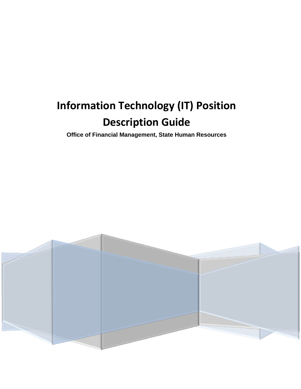# **Information Technology (IT) Position Description Guide**

**Office of Financial Management, State Human Resources**

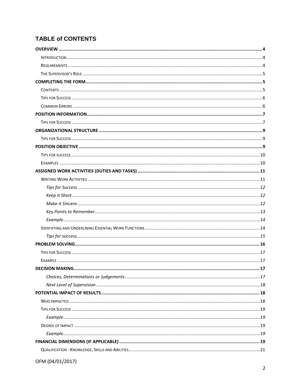# **TABLE of CONTENTS**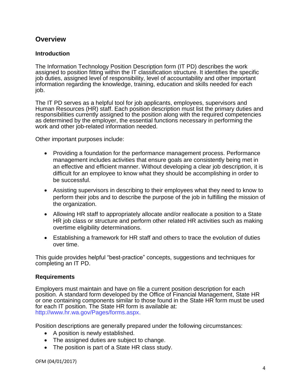# <span id="page-4-0"></span>**Overview**

#### <span id="page-4-1"></span>**Introduction**

The Information Technology Position Description form (IT PD) describes the work assigned to position fitting within the IT classification structure. It identifies the specific job duties, assigned level of responsibility, level of accountability and other important information regarding the knowledge, training, education and skills needed for each job.

The IT PD serves as a helpful tool for job applicants, employees, supervisors and Human Resources (HR) staff. Each position description must list the primary duties and responsibilities currently assigned to the position along with the required competencies as determined by the employer, the essential functions necessary in performing the work and other job-related information needed.

Other important purposes include:

- Providing a foundation for the performance management process. Performance management includes activities that ensure goals are consistently being met in an effective and efficient manner. Without developing a clear job description, it is difficult for an employee to know what they should be accomplishing in order to be successful.
- Assisting supervisors in describing to their employees what they need to know to perform their jobs and to describe the purpose of the job in fulfilling the mission of the organization.
- Allowing HR staff to appropriately allocate and/or reallocate a position to a State HR job class or structure and perform other related HR activities such as making overtime eligibility determinations.
- Establishing a framework for HR staff and others to trace the evolution of duties over time.

This guide provides helpful "best-practice" concepts, suggestions and techniques for completing an IT PD.

#### <span id="page-4-2"></span>**Requirements**

Employers must maintain and have on file a current position description for each position. A standard form developed by the Office of Financial Management, State HR or one containing components similar to those found in the State HR form must be used for each IT position. The State HR form is available at: [http://www.hr.wa.gov/Pages/forms.aspx.](http://www.hr.wa.gov/Pages/forms.aspx)

Position descriptions are generally prepared under the following circumstances:

- A position is newly established.
- The assigned duties are subject to change.
- The position is part of a State HR class study.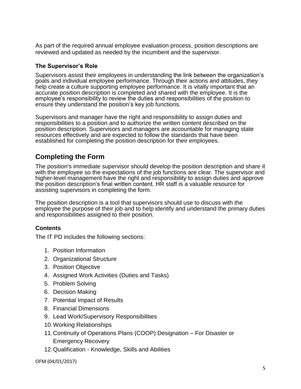As part of the required annual employee evaluation process, position descriptions are reviewed and updated as needed by the incumbent and the supervisor.

#### <span id="page-5-0"></span>**The Supervisor's Role**

Supervisors assist their employees in understanding the link between the organization's goals and individual employee performance. Through their actions and attitudes, they help create a culture supporting employee performance. It is vitally important that an accurate position description is completed and shared with the employee. It is the employee's responsibility to review the duties and responsibilities of the position to ensure they understand the position's key job functions.

Supervisors and manager have the right and responsibility to assign duties and responsibilities to a position and to authorize the written content described on the position description. Supervisors and managers are accountable for managing state resources effectively and are expected to follow the standards that have been established for completing the position description for their employees.

# <span id="page-5-1"></span>**Completing the Form**

The position's immediate supervisor should develop the position description and share it with the employee so the expectations of the job functions are clear. The supervisor and higher-level management have the right and responsibility to assign duties and approve the position description's final written content. HR staff is a valuable resource for assisting supervisors in completing the form.

The position description is a tool that supervisors should use to discuss with the employee the purpose of their job and to help identify and understand the primary duties and responsibilities assigned to their position.

# <span id="page-5-2"></span>**Contents**

The IT PD includes the following sections:

- 1. Position Information
- 2. Organizational Structure
- 3. Position Objective
- 4. Assigned Work Activities (Duties and Tasks)
- 5. Problem Solving
- 6. Decision Making
- 7. Potential Impact of Results
- 8. Financial Dimensions
- 9. Lead Work/Supervisory Responsibilities
- 10.Working Relationships
- 11.Continuity of Operations Plans (COOP) Designation For Disaster or Emergency Recovery
- 12.Qualification Knowledge, Skills and Abilities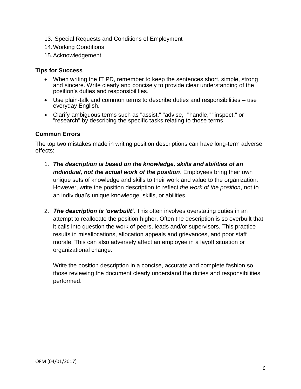- 13. Special Requests and Conditions of Employment
- 14.Working Conditions
- <span id="page-6-0"></span>15.Acknowledgement

- When writing the IT PD, remember to keep the sentences short, simple, strong and sincere. Write clearly and concisely to provide clear understanding of the position's duties and responsibilities.
- Use plain-talk and common terms to describe duties and responsibilities use everyday English.
- Clarify ambiguous terms such as "assist," "advise," "handle," "inspect," or "research" by describing the specific tasks relating to those terms.

#### <span id="page-6-1"></span>**Common Errors**

The top two mistakes made in writing position descriptions can have long-term adverse effects:

- 1. *The description is based on the knowledge, skills and abilities of an individual, not the actual work of the position*. Employees bring their own unique sets of knowledge and skills to their work and value to the organization. However, write the position description to reflect *the work of the position*, not to an individual's unique knowledge, skills, or abilities.
- 2. *The description is 'overbuilt'***.** This often involves overstating duties in an attempt to reallocate the position higher. Often the description is so overbuilt that it calls into question the work of peers, leads and/or supervisors. This practice results in misallocations, allocation appeals and grievances, and poor staff morale. This can also adversely affect an employee in a layoff situation or organizational change.

Write the position description in a concise, accurate and complete fashion so those reviewing the document clearly understand the duties and responsibilities performed.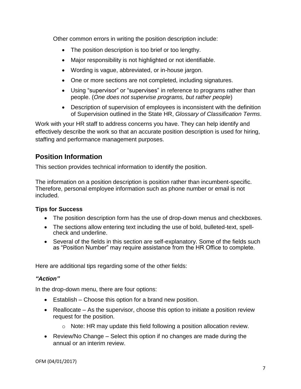Other common errors in writing the position description include:

- The position description is too brief or too lengthy.
- Major responsibility is not highlighted or not identifiable.
- Wording is vague, abbreviated, or in-house jargon.
- One or more sections are not completed, including signatures.
- Using "supervisor" or "supervises" in reference to programs rather than people. (*One does not supervise programs, but rather people*)
- Description of supervision of employees is inconsistent with the definition of Supervision outlined in the State HR, *Glossary of Classification Terms*.

Work with your HR staff to address concerns you have. They can help identify and effectively describe the work so that an accurate position description is used for hiring, staffing and performance management purposes.

# <span id="page-7-0"></span>**Position Information**

This section provides technical information to identify the position.

The information on a position description is position rather than incumbent-specific. Therefore, personal employee information such as phone number or email is not included.

# <span id="page-7-1"></span>**Tips for Success**

- The position description form has the use of drop-down menus and checkboxes.
- The sections allow entering text including the use of bold, bulleted-text, spellcheck and underline.
- Several of the fields in this section are self-explanatory. Some of the fields such as "Position Number" may require assistance from the HR Office to complete.

Here are additional tips regarding some of the other fields:

# *"Action"*

In the drop-down menu, there are four options:

- Establish Choose this option for a brand new position.
- Reallocate As the supervisor, choose this option to initiate a position review request for the position.
	- o Note: HR may update this field following a position allocation review.
- Review/No Change Select this option if no changes are made during the annual or an interim review.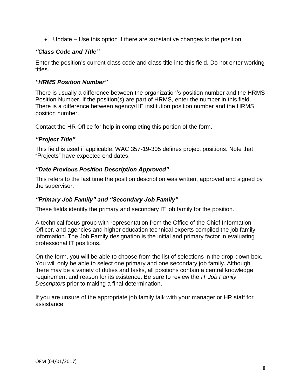Update – Use this option if there are substantive changes to the position.

#### *"Class Code and Title"*

Enter the position's current class code and class title into this field. Do not enter working titles.

#### *"HRMS Position Number"*

There is usually a difference between the organization's position number and the HRMS Position Number. If the position(s) are part of HRMS, enter the number in this field. There is a difference between agency/HE institution position number and the HRMS position number.

Contact the HR Office for help in completing this portion of the form.

#### *"Project Title"*

This field is used if applicable. WAC 357-19-305 defines project positions. Note that "Projects" have expected end dates.

#### *"Date Previous Position Description Approved"*

This refers to the last time the position description was written, approved and signed by the supervisor.

# *"Primary Job Family" and "Secondary Job Family"*

These fields identify the primary and secondary IT job family for the position.

A technical focus group with representation from the Office of the Chief Information Officer, and agencies and higher education technical experts compiled the job family information. The Job Family designation is the initial and primary factor in evaluating professional IT positions.

On the form, you will be able to choose from the list of selections in the drop-down box. You will only be able to select one primary and one secondary job family. Although there may be a variety of duties and tasks, all positions contain a central knowledge requirement and reason for its existence. Be sure to review the *IT Job Family Descriptors* prior to making a final determination.

If you are unsure of the appropriate job family talk with your manager or HR staff for assistance.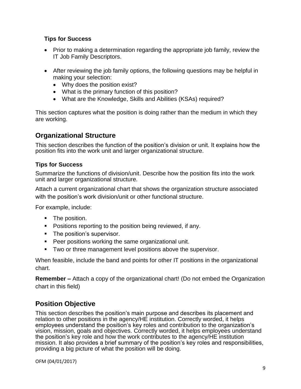- Prior to making a determination regarding the appropriate job family, review the IT Job Family Descriptors.
- After reviewing the job family options, the following questions may be helpful in making your selection:
	- Why does the position exist?
	- What is the primary function of this position?
	- What are the Knowledge, Skills and Abilities (KSAs) required?

This section captures what the position is doing rather than the medium in which they are working.

# <span id="page-9-0"></span>**Organizational Structure**

This section describes the function of the position's division or unit. It explains how the position fits into the work unit and larger organizational structure.

# <span id="page-9-1"></span>**Tips for Success**

Summarize the functions of division/unit. Describe how the position fits into the work unit and larger organizational structure.

Attach a current organizational chart that shows the organization structure associated with the position's work division/unit or other functional structure.

For example, include:

- The position.
- **Positions reporting to the position being reviewed, if any.**
- **The position's supervisor.**
- **Peer positions working the same organizational unit.**
- **Two or three management level positions above the supervisor.**

When feasible, include the band and points for other IT positions in the organizational chart.

**Remember –** Attach a copy of the organizational chart! (Do not embed the Organization chart in this field)

# <span id="page-9-2"></span>**Position Objective**

This section describes the position's main purpose and describes its placement and relation to other positions in the agency/HE institution. Correctly worded, it helps employees understand the position's key roles and contribution to the organization's vision, mission, goals and objectives. Correctly worded, it helps employees understand the position's key role and how the work contributes to the agency/HE institution mission. It also provides a brief summary of the position's key roles and responsibilities, providing a big picture of what the position will be doing.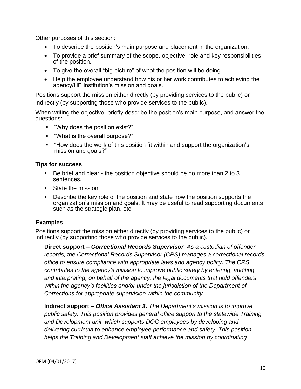Other purposes of this section:

- To describe the position's main purpose and placement in the organization.
- To provide a brief summary of the scope, objective, role and key responsibilities of the position.
- To give the overall "big picture" of what the position will be doing.
- Help the employee understand how his or her work contributes to achieving the agency/HE institution's mission and goals.

Positions support the mission either directly (by providing services to the public) or indirectly (by supporting those who provide services to the public).

When writing the objective, briefly describe the position's main purpose, and answer the questions:

- "Why does the position exist?"
- "What is the overall purpose?"
- "How does the work of this position fit within and support the organization's mission and goals?"

#### <span id="page-10-0"></span>**Tips for success**

- Be brief and clear the position objective should be no more than 2 to 3 sentences.
- State the mission.
- Describe the key role of the position and state how the position supports the organization's mission and goals. It may be useful to read supporting documents such as the strategic plan, etc.

# <span id="page-10-1"></span>**Examples**

Positions support the mission either directly (by providing services to the public) or indirectly (by supporting those who provide services to the public).

**Direct support –** *Correctional Records Supervisor. As a custodian of offender records, the Correctional Records Supervisor (CRS) manages a correctional records office to ensure compliance with appropriate laws and agency policy. The CRS contributes to the agency's mission to improve public safety by entering, auditing, and interpreting, on behalf of the agency, the legal documents that hold offenders within the agency's facilities and/or under the jurisdiction of the Department of Corrections for appropriate supervision within the community.* 

**Indirect support –** *Office Assistant 3***.** *The Department's mission is to improve public safety. This position provides general office support to the statewide Training and Development unit, which supports DOC employees by developing and delivering curricula to enhance employee performance and safety. This position helps the Training and Development staff achieve the mission by coordinating*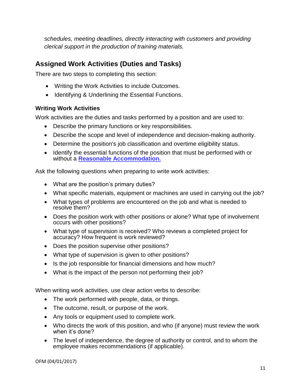*schedules, meeting deadlines, directly interacting with customers and providing clerical support in the production of training materials.*

# <span id="page-11-0"></span>**Assigned Work Activities (Duties and Tasks)**

There are two steps to completing this section:

- Writing the Work Activities to include Outcomes.
- Identifying & Underlining the Essential Functions.

# <span id="page-11-1"></span>**Writing Work Activities**

Work activities are the duties and tasks performed by a position and are used to:

- Describe the primary functions or key responsibilities.
- Describe the scope and level of independence and decision-making authority.
- Determine the position's job classification and overtime eligibility status.
- Identify the essential functions of the position that must be performed with or without a **[Reasonable Accommodation.](http://hr.ofm.wa.gov/diversity/equal-employment-opportunity/reasonable-accommodations)**

Ask the following questions when preparing to write work activities:

- What are the position's primary duties?
- What specific materials, equipment or machines are used in carrying out the job?
- What types of problems are encountered on the job and what is needed to resolve them?
- Does the position work with other positions or alone? What type of involvement occurs with other positions?
- What type of supervision is received? Who reviews a completed project for accuracy? How frequent is work reviewed?
- Does the position supervise other positions?
- What type of supervision is given to other positions?
- Is the job responsible for financial dimensions and how much?
- What is the impact of the person not performing their job?

When writing work activities, use [clear action verbs t](http://insidedoc/usercontents/orgdev/docs/Academies/SSS/04REPDE.pdf)o describe:

- The work performed with people, data, or things.
- The outcome, result, or purpose of the work.
- Any tools or equipment used to complete work.
- Who directs the work of this position, and who (if anyone) must review the work when it's done?
- The level of independence, the degree of authority or control, and to whom the employee makes recommendations (if applicable).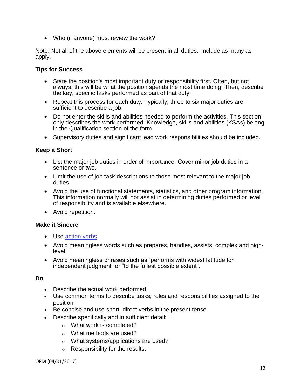• Who (if anyone) must review the work?

Note: Not all of the above elements will be present in all duties. Include as many as apply.

#### <span id="page-12-0"></span>**Tips for Success**

- State the position's most important duty or responsibility first. Often, but not always, this will be what the position spends the most time doing. Then, describe the key, specific tasks performed as part of that duty.
- Repeat this process for each duty. Typically, three to six major duties are sufficient to describe a job.
- Do not enter the skills and abilities needed to perform the activities. This section only describes the work performed. Knowledge, skills and abilities (KSAs) belong in the Qualification section of the form.
- Supervisory duties and significant lead work responsibilities should be included.

#### <span id="page-12-1"></span>**Keep it Short**

- List the major job duties in order of importance. Cover minor job duties in a sentence or two.
- Limit the use of job task descriptions to those most relevant to the major job duties.
- Avoid the use of functional statements, statistics, and other program information. This information normally will not assist in determining duties performed or level of responsibility and is available elsewhere.
- Avoid repetition.

#### <span id="page-12-2"></span>**Make it Sincere**

- Use [action verbs.](http://hr.ofm.wa.gov/sites/default/files/documents/CompensationAndJobClasses/1RoundtableClassCompMeetingMaterials/091208CLEAR%20ACTION%20VERBSLP.doc)
- Avoid meaningless words such as prepares, handles, assists, complex and highlevel.
- Avoid meaningless phrases such as "performs with widest latitude for independent judgment" or "to the fullest possible extent".

#### **Do**

- Describe the actual work performed.
- Use common terms to describe tasks, roles and responsibilities assigned to the position.
- Be concise and use short, direct verbs in the present tense.
- Describe specifically and in sufficient detail:
	- o What work is completed?
	- o What methods are used?
	- o What systems/applications are used?
	- o Responsibility for the results.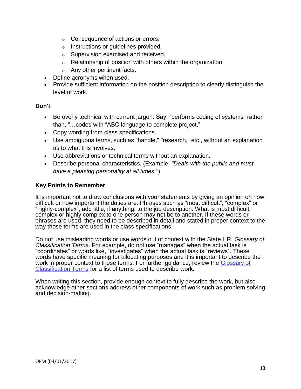- o Consequence of actions or errors.
- o Instructions or guidelines provided.
- o Supervision exercised and received.
- $\circ$  Relationship of position with others within the organization.
- $\circ$  Any other pertinent facts.
- Define acronyms when used.
- Provide sufficient information on the position description to clearly distinguish the level of work.

#### **Don't**

- Be overly technical with current jargon. Say, "performs coding of systems" rather than, "…codes with "ABC language to complete project."
- Copy wording from class specifications.
- Use ambiguous terms, such as "handle," "research," etc., without an explanation as to what this involves.
- Use abbreviations or technical terms without an explanation.
- Describe personal characteristics. (Example: *"Deals with the public and must have a pleasing personality at all times."*)

#### <span id="page-13-0"></span>**Key Points to Remember**

It is important not to draw conclusions with your statements by giving an opinion on how difficult or how important the duties are. Phrases such as "most difficult", "complex" or "highly-complex", add little, if anything, to the job description. What is most difficult, complex or highly complex to one person may not be to another. If these words or phrases are used, they need to be described in detail and stated in proper context to the way those terms are used in the class specifications.

Do not use misleading words or use words out of context with the State HR, *Glossary of Classification Terms*. For example, do not use "manages" when the actual task is "coordinates" or words like, "investigates" when the actual task is "reviews". These words have specific meaning for allocating purposes and it is important to describe the work in proper context to those terms. For further guidance, review the [Glossary of](http://hr.ofm.wa.gov/sites/default/files/documents/CompensationAndJobClasses/Comp%20Class%20HR%20Pro%20Tools/Classification_Glossary.pdf)  [Classification Terms](http://hr.ofm.wa.gov/sites/default/files/documents/CompensationAndJobClasses/Comp%20Class%20HR%20Pro%20Tools/Classification_Glossary.pdf) for a list of terms used to describe work.

When writing this section, provide enough context to fully describe the work, but also acknowledge other sections address other components of work such as problem solving and decision-making.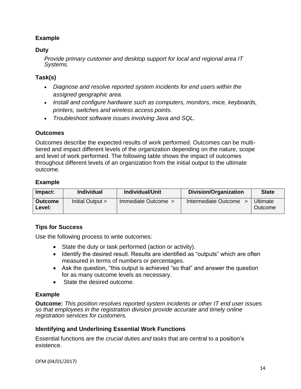# <span id="page-14-0"></span>**Example**

## **Duty**

*Provide primary customer and desktop support for local and regional area IT Systems.*

# **Task(s)**

- *Diagnose and resolve reported system incidents for end users within the assigned geographic area.*
- *Install and configure hardware such as computers, monitors, mice, keyboards, printers, switches and wireless access points.*
- *Troubleshoot software issues involving Java and SQL.*

#### **Outcomes**

Outcomes describe the expected results of work performed. Outcomes can be multitiered and impact different levels of the organization depending on the nature, scope and level of work performed. The following table shows the impact of outcomes throughout different levels of an organization from the initial output to the ultimate outcome.

#### **Example**

| Impact:                  | <b>Individual</b> | Individual/Unit     | <b>Division/Organization</b> | <b>State</b>        |
|--------------------------|-------------------|---------------------|------------------------------|---------------------|
| <b>Outcome</b><br>Level: | Initial Output >  | Immediate Outcome > | Intermediate Outcome         | Ultimate<br>Outcome |

# **Tips for Success**

Use the following process to write outcomes:

- State the duty or task performed (action or activity).
- Identify the desired result. Results are identified as "outputs" which are often measured in terms of numbers or percentages.
- Ask the question, "this output is achieved "so that" and answer the question for as many outcome levels as necessary.
- State the desired outcome.

#### **Example**

**Outcome:** *This position resolves reported system incidents or other IT end user issues so that employees in the registration division provide accurate and timely online registration services for customers.*

#### <span id="page-14-1"></span>**Identifying and Underlining Essential Work Functions**

Essential functions are the *crucial duties and tasks* that are central to a position's existence.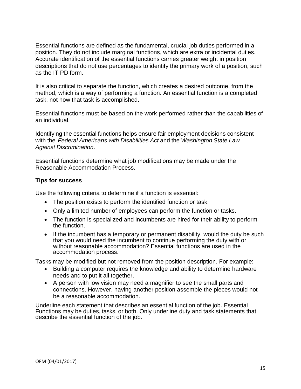Essential functions are defined as the fundamental, crucial job duties performed in a position. They do not include marginal functions, which are extra or incidental duties. Accurate identification of the essential functions carries greater weight in position descriptions that do not use percentages to identify the primary work of a position, such as the IT PD form.

It is also critical to separate the function, which creates a desired outcome, from the method, which is a way of performing a function. An essential function is a completed task, not how that task is accomplished.

Essential functions must be based on the work performed rather than the capabilities of an individual.

Identifying the essential functions helps ensure fair employment decisions consistent with the *Federal Americans with [Disabilities](http://www.ada.gov/) Act* and the *[Washington](http://www.hum.wa.gov/Employment/Index.html) State Law Against [Discrimination](http://www.hum.wa.gov/Employment/Index.html)*.

Essential functions determine what job modifications may be made under the Reasonable Accommodation Process.

#### <span id="page-15-0"></span>**Tips for success**

Use the following criteria to determine if a function is essential:

- The position exists to perform the identified function or task.
- Only a limited number of employees can perform the function or tasks.
- The function is specialized and incumbents are hired for their ability to perform the function.
- If the incumbent has a temporary or permanent disability, would the duty be such that you would need the incumbent to continue performing the duty with or without reasonable accommodation? Essential functions are used in the accommodation process.

Tasks may be modified but not removed from the position description. For example:

- Building a computer requires the knowledge and ability to determine hardware needs and to put it all together.
- A person with low vision may need a magnifier to see the small parts and connections. However, having another position assemble the pieces would not be a reasonable accommodation.

Underline each statement that describes an essential function of the job. Essential Functions may be duties, tasks, or both. Only underline duty and task statements that describe the essential function of the job.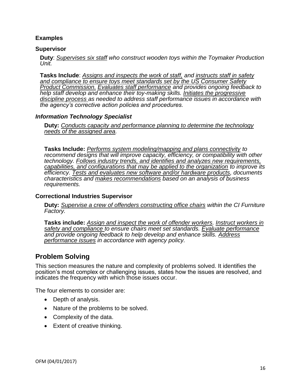#### **Examples**

#### **Supervisor**

**Duty**: *Supervises six staff who construct wooden toys within the Toymaker Production Unit.*

**Tasks Include**: *Assigns and inspects the work of staff, and instructs staff in safety and compliance to ensure toys meet standards set by the US Consumer Safety Product Commission. Evaluates staff performance and provides ongoing feedback to help staff develop and enhance their toy-making skills. Initiates the progressive discipline process as needed to address staff performance issues in accordance with the agency's corrective action policies and procedures.*

#### *Information Technology Specialist*

**Duty:** *Conducts capacity and performance planning to determine the technology needs of the assigned area.*

**Tasks Include:** *Performs system modeling/mapping and plans connectivity to*  recommend designs that will improve capacity, efficiency, or compatibility with other *technology. Follows industry trends, and identifies and analyzes new requirements, capabilities, and configurations that may be applied to the organization to improve its efficiency. Tests and evaluates new software and/or hardware products, documents characteristics and makes recommendations based on an analysis of business requirements.*

#### **Correctional Industries Supervisor**

**Duty:** *Supervise a crew of offenders constructing office chairs within the CI Furniture Factory.*

**Tasks include:** *Assign and inspect the work of offender workers. Instruct workers in safety and compliance to ensure chairs meet set standards. Evaluate performance and provide ongoing feedback to help develop and enhance skills. Address performance issues in accordance with agency policy.*

# <span id="page-16-0"></span>**Problem Solving**

This section measures the nature and complexity of problems solved. It identifies the position's most complex or challenging issues, states how the issues are resolved, and indicates the frequency with which those issues occur.

The four elements to consider are:

- Depth of analysis.
- Nature of the problems to be solved.
- Complexity of the data.
- Extent of creative thinking.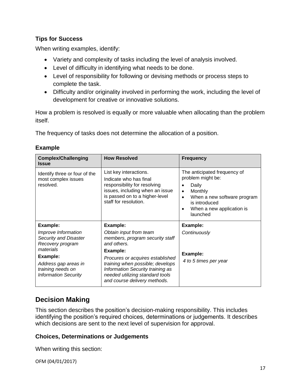<span id="page-17-0"></span>When writing examples, identify:

- Variety and complexity of tasks including the level of analysis involved.
- Level of difficulty in identifying what needs to be done.
- Level of responsibility for following or devising methods or process steps to complete the task.
- Difficulty and/or originality involved in performing the work, including the level of development for creative or innovative solutions.

How a problem is resolved is equally or more valuable when allocating than the problem itself.

The frequency of tasks does not determine the allocation of a position.

| <b>Complex/Challenging</b><br><b>Issue</b>                                           | <b>How Resolved</b>                                                                                                                                                            | <b>Frequency</b>                                                                                                                                                                                      |
|--------------------------------------------------------------------------------------|--------------------------------------------------------------------------------------------------------------------------------------------------------------------------------|-------------------------------------------------------------------------------------------------------------------------------------------------------------------------------------------------------|
| Identify three or four of the<br>most complex issues<br>resolved.                    | List key interactions.<br>Indicate who has final<br>responsibility for resolving<br>issues, including when an issue<br>is passed on to a higher-level<br>staff for resolution. | The anticipated frequency of<br>problem might be:<br>Daily<br>Monthly<br>$\bullet$<br>When a new software program<br>$\bullet$<br>is introduced<br>When a new application is<br>$\bullet$<br>launched |
| Example:                                                                             | Example:                                                                                                                                                                       | Example:                                                                                                                                                                                              |
| Improve Information<br>Security and Disaster<br>Recovery program                     | Obtain input from team<br>members, program security staff<br>and others.                                                                                                       | Continuously                                                                                                                                                                                          |
| materials                                                                            | Example:                                                                                                                                                                       | Example:                                                                                                                                                                                              |
| Example:<br>Address gap areas in<br>training needs on<br><b>Information Security</b> | Procures or acquires established<br>training when possible; develops<br>Information Security training as<br>needed utilizing standard tools<br>and course delivery methods.    | 4 to 5 times per year                                                                                                                                                                                 |

#### <span id="page-17-1"></span>**Example**

# <span id="page-17-2"></span>**Decision Making**

This section describes the position's decision-making responsibility. This includes identifying the position's required choices, determinations or judgements. It describes which decisions are sent to the next level of supervision for approval.

#### <span id="page-17-3"></span>**Choices, Determinations or Judgements**

When writing this section: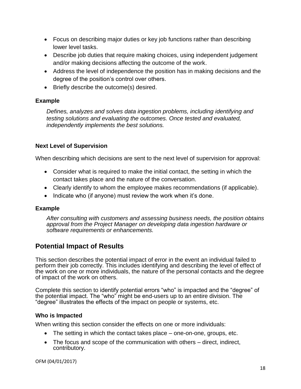- Focus on describing major duties or key job functions rather than describing lower level tasks.
- Describe job duties that require making choices, using independent judgement and/or making decisions affecting the outcome of the work.
- Address the level of independence the position has in making decisions and the degree of the position's control over others.
- Briefly describe the outcome(s) desired.

# **Example**

*Defines, analyzes and solves data ingestion problems, including identifying and testing solutions and evaluating the outcomes. Once tested and evaluated, independently implements the best solutions.*

# <span id="page-18-0"></span>**Next Level of Supervision**

When describing which decisions are sent to the next level of supervision for approval:

- Consider what is required to make the initial contact, the setting in which the contact takes place and the nature of the conversation.
- Clearly identify to whom the employee makes recommendations (if applicable).
- $\bullet$  Indicate who (if anyone) must review the work when it's done.

# **Example**

*After consulting with customers and assessing business needs, the position obtains approval from the Project Manager on developing data ingestion hardware or software requirements or enhancements.*

# <span id="page-18-1"></span>**Potential Impact of Results**

This section describes the potential impact of error in the event an individual failed to perform their job correctly. This includes identifying and describing the level of effect of the work on one or more individuals, the nature of the personal contacts and the degree of impact of the work on others.

Complete this section to identify potential errors "who" is impacted and the "degree" of the potential impact. The "who" might be end-users up to an entire division. The "degree" illustrates the effects of the impact on people or systems, etc.

# <span id="page-18-2"></span>**Who is Impacted**

When writing this section consider the effects on one or more individuals:

- The setting in which the contact takes place one-on-one, groups, etc.
- The focus and scope of the communication with others direct, indirect, contributory.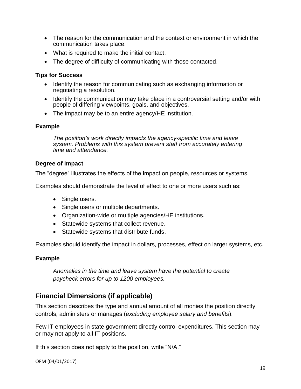- The reason for the communication and the context or environment in which the communication takes place.
- What is required to make the initial contact.
- <span id="page-19-0"></span>• The degree of difficulty of communicating with those contacted.

- Identify the reason for communicating such as exchanging information or negotiating a resolution.
- Identify the communication may take place in a controversial setting and/or with people of differing viewpoints, goals, and objectives.
- The impact may be to an entire agency/HE institution.

#### <span id="page-19-1"></span>**Example**

*The position's work directly impacts the agency-specific time and leave system. Problems with this system prevent staff from accurately entering time and attendance.*

#### <span id="page-19-2"></span>**Degree of Impact**

The "degree" illustrates the effects of the impact on people, resources or systems.

Examples should demonstrate the level of effect to one or more users such as:

- Single users.
- Single users or multiple departments.
- Organization-wide or multiple agencies/HE institutions.
- Statewide systems that collect revenue.
- Statewide systems that distribute funds.

Examples should identify the impact in dollars, processes, effect on larger systems, etc.

# <span id="page-19-3"></span>**Example**

*Anomalies in the time and leave system have the potential to create paycheck errors for up to 1200 employees.*

# <span id="page-19-4"></span>**Financial Dimensions (if applicable)**

This section describes the type and annual amount of all monies the position directly controls, administers or manages (*excluding employee salary and benefits*).

Few IT employees in state government directly control expenditures. This section may or may not apply to all IT positions.

If this section does not apply to the position, write "N/A."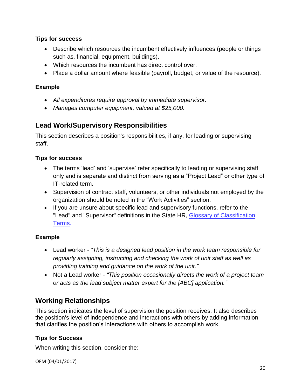- Describe which resources the incumbent effectively influences (people or things such as, financial, equipment, buildings).
- Which resources the incumbent has direct control over.
- Place a dollar amount where feasible (payroll, budget, or value of the resource).

# **Example**

- *All expenditures require approval by immediate supervisor.*
- *Manages computer equipment, valued at \$25,000.*

# **Lead Work/Supervisory Responsibilities**

This section describes a position's responsibilities, if any, for leading or supervising staff.

# **Tips for success**

- The terms 'lead' and 'supervise' refer specifically to leading or supervising staff only and is separate and distinct from serving as a "Project Lead" or other type of IT-related term.
- Supervision of contract staff, volunteers, or other individuals not employed by the organization should be noted in the "Work Activities" section.
- If you are unsure about specific lead and supervisory functions, refer to the "Lead" and "Supervisor" definitions in the State HR, [Glossary of Classification](http://hr.ofm.wa.gov/sites/default/files/documents/CompensationAndJobClasses/Comp%20Class%20HR%20Pro%20Tools/Classification_Glossary.pdf)  [Terms.](http://hr.ofm.wa.gov/sites/default/files/documents/CompensationAndJobClasses/Comp%20Class%20HR%20Pro%20Tools/Classification_Glossary.pdf)

# **Example**

- Lead worker *"This is a designed lead position in the work team responsible for regularly assigning, instructing and checking the work of unit staff as well as providing training and guidance on the work of the unit."*
- Not a Lead worker *"This position occasionally directs the work of a project team or acts as the lead subject matter expert for the [ABC] application."*

# **Working Relationships**

This section indicates the level of supervision the position receives. It also describes the position's level of independence and interactions with others by adding information that clarifies the position's interactions with others to accomplish work.

# **Tips for Success**

When writing this section, consider the: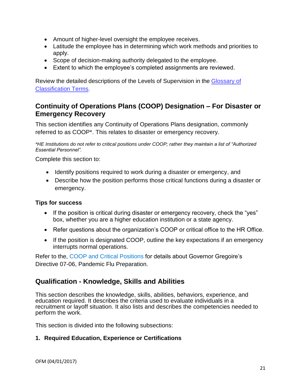- Amount of higher-level oversight the employee receives.
- Latitude the employee has in determining which work methods and priorities to apply.
- Scope of decision-making authority delegated to the employee.
- Extent to which the employee's completed assignments are reviewed.

Review the detailed descriptions of the Levels of Supervision in the [Glossary of](http://hr.ofm.wa.gov/sites/default/files/documents/CompensationAndJobClasses/Comp%20Class%20HR%20Pro%20Tools/Classification_Glossary.pdf)  [Classification Terms.](http://hr.ofm.wa.gov/sites/default/files/documents/CompensationAndJobClasses/Comp%20Class%20HR%20Pro%20Tools/Classification_Glossary.pdf)

# **Continuity of Operations Plans (COOP) Designation – For Disaster or Emergency Recovery**

This section identifies any Continuity of Operations Plans designation, commonly referred to as COOP\*. This relates to disaster or emergency recovery.

*\*HE Institutions do not refer to critical positions under COOP; rather they maintain a list of "Authorized Essential Personnel".*

Complete this section to:

- Identify positions required to work during a disaster or emergency, and
- Describe how the position performs those critical functions during a disaster or emergency.

# **Tips for success**

- If the position is critical during disaster or emergency recovery, check the "yes" box, whether you are a higher education institution or a state agency.
- Refer questions about the organization's COOP or critical office to the HR Office.
- If the position is designated COOP, outline the key expectations if an emergency interrupts normal operations.

Refer to the, [COOP and Critical Positions](http://hr.ofm.wa.gov/workforce-data-planning/workforce-planning/continuity-operations-plans-coop-and-critical-positions) for details about Governor Gregoire's Directive 07-06, Pandemic Flu Preparation.

# <span id="page-21-0"></span>**Qualification - Knowledge, Skills and Abilities**

This section describes the knowledge, skills, abilities, behaviors, experience, and education required. It describes the criteria used to evaluate individuals in a recruitment or layoff situation. It also lists and describes the [competencies n](http://insidedoc/usercontents/orgdev/docs/Academies/SSS/04REPDG.pdf)eeded to perform the work.

This section is divided into the following subsections:

#### **1. Required Education, Experience or Certifications**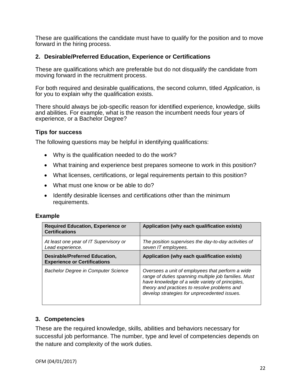These are qualifications the candidate must have to qualify for the position and to move forward in the hiring process.

#### **2. Desirable/Preferred Education, Experience or Certifications**

These are qualifications which are preferable but do not disqualify the candidate from moving forward in the recruitment process.

For both required and desirable qualifications, the second column, titled *Application*, is for you to explain why the qualification exists.

There should always be job-specific reason for identified experience, knowledge, skills and abilities. For example, what is the reason the incumbent needs four years of experience, or a Bachelor Degree?

#### **Tips for success**

The following questions may be helpful in identifying qualifications:

- Why is the qualification needed to do the work?
- What training and experience best prepares someone to work in this position?
- What licenses, certifications, or legal requirements pertain to this position?
- What must one know or be able to do?
- Identify desirable licenses and certifications other than the minimum requirements.

#### **Example**

| <b>Required Education, Experience or</b><br><b>Certifications</b>     | Application (why each qualification exists)                                                                                                                                                                                                                 |
|-----------------------------------------------------------------------|-------------------------------------------------------------------------------------------------------------------------------------------------------------------------------------------------------------------------------------------------------------|
| At least one year of IT Supervisory or<br>Lead experience.            | The position supervises the day-to-day activities of<br>seven IT employees.                                                                                                                                                                                 |
| Desirable/Preferred Education,<br><b>Experience or Certifications</b> | Application (why each qualification exists)                                                                                                                                                                                                                 |
| <b>Bachelor Degree in Computer Science</b>                            | Oversees a unit of employees that perform a wide<br>range of duties spanning multiple job families. Must<br>have knowledge of a wide variety of principles,<br>theory and practices to resolve problems and<br>develop strategies for unprecedented issues. |

# **3. Competencies**

These are the required knowledge, skills, abilities and behaviors necessary for successful job performance. The number, type and level of competencies depends on the nature and complexity of the work duties.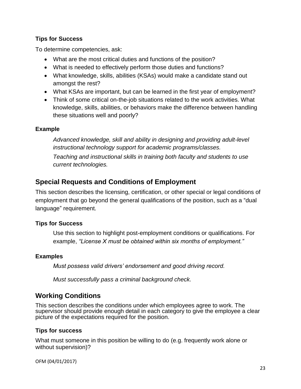To determine competencies, ask:

- What are the most critical duties and functions of the position?
- What is needed to effectively perform those duties and functions?
- What knowledge, skills, abilities (KSAs) would make a candidate stand out amongst the rest?
- What KSAs are important, but can be learned in the first year of employment?
- Think of some critical on-the-job situations related to the work activities. What knowledge, skills, abilities, or behaviors make the difference between handling these situations well and poorly?

# **Example**

*Advanced knowledge, skill and ability in designing and providing adult-level instructional technology support for academic programs/classes. Teaching and instructional skills in training both faculty and students to use current technologies.*

# **Special Requests and Conditions of Employment**

This section describes the licensing, certification, or other special or legal conditions of employment that go beyond the general qualifications of the position, such as a "dual language" requirement.

# **Tips for Success**

Use this section to highlight post-employment conditions or qualifications. For example, *"License X must be obtained within six months of employment."*

# **Examples**

*Must possess valid drivers' endorsement and good driving record.*

*Must successfully pass a criminal background check.*

# **Working Conditions**

This section describes the conditions under which employees agree to work. The supervisor should provide enough detail in each category to give the employee a clear picture of the expectations required for the position.

#### **Tips for success**

What must someone in this position be willing to do (e.g. frequently work alone or without supervision)?